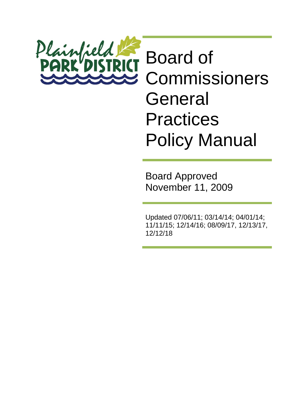

Board Approved November 11, 2009

Updated 07/06/11; 03/14/14; 04/01/14; 11/11/15; 12/14/16; 08/09/17, 12/13/17, 12/12/18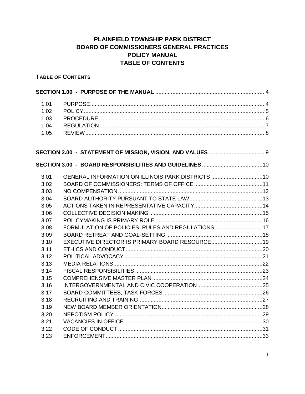# PLAINFIELD TOWNSHIP PARK DISTRICT **BOARD OF COMMISSIONERS GENERAL PRACTICES POLICY MANUAL TABLE OF CONTENTS**

# **TABLE OF CONTENTS**

| 1.01<br>1.02<br>1.03<br>1.04<br>1.05 |                                                   |  |
|--------------------------------------|---------------------------------------------------|--|
|                                      |                                                   |  |
|                                      |                                                   |  |
| 3.01                                 | GENERAL INFORMATION ON ILLINOIS PARK DISTRICTS 10 |  |
| 3.02                                 |                                                   |  |
| 3.03                                 |                                                   |  |
| 3.04                                 |                                                   |  |
| 3.05                                 |                                                   |  |
| 3.06                                 |                                                   |  |
| 3.07                                 |                                                   |  |
| 3.08                                 | FORMULATION OF POLICIES, RULES AND REGULATIONS17  |  |
| 3.09                                 |                                                   |  |
| 3.10                                 | EXECUTIVE DIRECTOR IS PRIMARY BOARD RESOURCE19    |  |
| 3.11                                 |                                                   |  |
| 3.12                                 |                                                   |  |
| 3.13                                 |                                                   |  |
| 3.14                                 |                                                   |  |
| 3.15                                 |                                                   |  |
| 3.16                                 |                                                   |  |
| 3.17                                 |                                                   |  |
| 3.18                                 |                                                   |  |
| 3.19                                 |                                                   |  |
| 3.20                                 |                                                   |  |
| 3.21                                 |                                                   |  |
| 3.22                                 |                                                   |  |
| 3.23                                 |                                                   |  |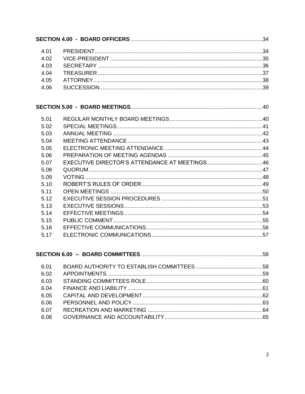| 4.01 |                                               |    |
|------|-----------------------------------------------|----|
| 4.02 |                                               |    |
| 4.03 |                                               |    |
| 4.04 |                                               |    |
| 4.05 |                                               |    |
| 4.06 |                                               |    |
|      |                                               |    |
| 5.01 |                                               |    |
| 5.02 |                                               |    |
| 5.03 |                                               |    |
| 5.04 |                                               |    |
| 5.05 |                                               |    |
| 5.06 |                                               |    |
| 5.07 | EXECUTIVE DIRECTOR'S ATTENDANCE AT MEETINGS46 |    |
| 5.08 |                                               |    |
| 5.09 |                                               |    |
| 5.10 |                                               |    |
| 5.11 |                                               |    |
| 5.12 |                                               |    |
| 5.13 |                                               |    |
| 5.14 |                                               |    |
| 5.15 |                                               |    |
| 5.16 |                                               |    |
| 5.17 |                                               |    |
|      | <b>SECTION 6.00 -- BOARD COMMITTEES</b>       | 58 |
| 6.01 |                                               |    |
| 6.02 |                                               |    |
| 6.03 |                                               |    |
| 6.04 |                                               |    |
| 6.05 |                                               |    |
| 6.06 |                                               |    |
| 6.07 |                                               |    |
| 6.08 |                                               |    |
|      |                                               |    |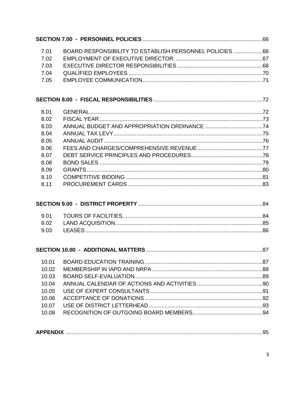| BOARD RESPONSIBILITY TO ESTABLISH PERSONNEL POLICIES 66<br>7.01 |  |
|-----------------------------------------------------------------|--|
| 7.02                                                            |  |
| 7.03                                                            |  |
| 7.04                                                            |  |
| 7.05                                                            |  |
|                                                                 |  |
| 8.01                                                            |  |
| 8.02                                                            |  |
| 8.03                                                            |  |
| 8.04                                                            |  |
| 8.05                                                            |  |
| 8.06                                                            |  |
| 8.07                                                            |  |
| 8.08                                                            |  |
| 8.09                                                            |  |
| 8.10                                                            |  |
| 8.11                                                            |  |
|                                                                 |  |
| 9.01                                                            |  |
| 9.02                                                            |  |
| 9.03                                                            |  |
|                                                                 |  |
| 10.01                                                           |  |
| 10.02                                                           |  |
| 10.03                                                           |  |
| 10.04                                                           |  |
| 10.05                                                           |  |
| 10.06                                                           |  |
| 10.07                                                           |  |
| 10.08                                                           |  |
|                                                                 |  |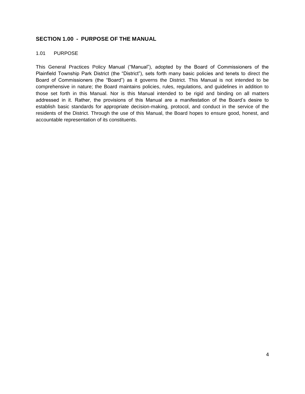# <span id="page-4-0"></span>**SECTION 1.00 - PURPOSE OF THE MANUAL**

#### <span id="page-4-1"></span>1.01 PURPOSE

This General Practices Policy Manual ("Manual"), adopted by the Board of Commissioners of the Plainfield Township Park District (the "District"), sets forth many basic policies and tenets to direct the Board of Commissioners (the "Board") as it governs the District. This Manual is not intended to be comprehensive in nature; the Board maintains policies, rules, regulations, and guidelines in addition to those set forth in this Manual. Nor is this Manual intended to be rigid and binding on all matters addressed in it. Rather, the provisions of this Manual are a manifestation of the Board's desire to establish basic standards for appropriate decision-making, protocol, and conduct in the service of the residents of the District. Through the use of this Manual, the Board hopes to ensure good, honest, and accountable representation of its constituents.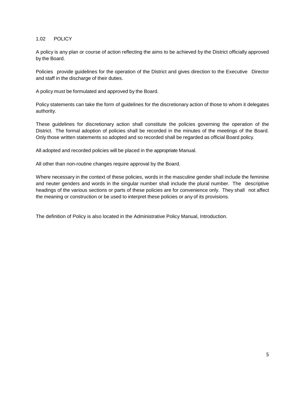### <span id="page-5-0"></span>1.02 POLICY

A policy is any plan or course of action reflecting the aims to be achieved by the District officially approved by the Board.

Policies provide guidelines for the operation of the District and gives direction to the Executive Director and staff in the discharge of their duties.

A policy must be formulated and approved by the Board.

Policy statements can take the form of guidelines for the discretionary action of those to whom it delegates authority.

These guidelines for discretionary action shall constitute the policies governing the operation of the District. The formal adoption of policies shall be recorded in the minutes of the meetings of the Board. Only those written statements so adopted and so recorded shall be regarded as official Board policy.

All adopted and recorded policies will be placed in the appropriate Manual.

All other than non-routine changes require approval by the Board.

Where necessary in the context of these policies, words in the masculine gender shall include the feminine and neuter genders and words in the singular number shall include the plural number. The descriptive headings of the various sections or parts of these policies are for convenience only. They shall not affect the meaning or construction or be used to interpret these policies or any of its provisions.

The definition of Policy is also located in the Administrative Policy Manual, Introduction.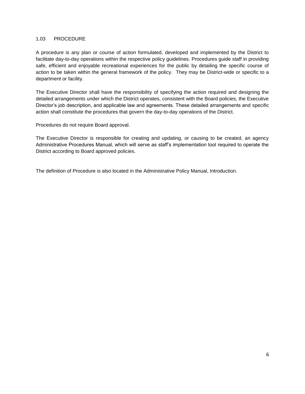### <span id="page-6-0"></span>1.03 PROCEDURE

A procedure is any plan or course of action formulated, developed and implemented by the District to facilitate day-to-day operations within the respective policy guidelines. Procedures guide staff in providing safe, efficient and enjoyable recreational experiences for the public by detailing the specific course of action to be taken within the general framework of the policy. They may be District-wide or specific to a department or facility.

The Executive Director shall have the responsibility of specifying the action required and designing the detailed arrangements under which the District operates, consistent with the Board policies, the Executive Director's job description, and applicable law and agreements. These detailed arrangements and specific action shall constitute the procedures that govern the day-to-day operations of the District.

Procedures do not require Board approval.

The Executive Director is responsible for creating and updating, or causing to be created, an agency Administrative Procedures Manual, which will serve as staff's implementation tool required to operate the District according to Board approved policies.

The definition of Procedure is also located in the Administrative Policy Manual, Introduction.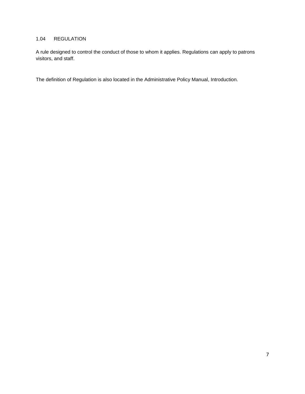# <span id="page-7-0"></span>1.04 REGULATION

A rule designed to control the conduct of those to whom it applies. Regulations can apply to patrons visitors, and staff.

The definition of Regulation is also located in the Administrative Policy Manual, Introduction.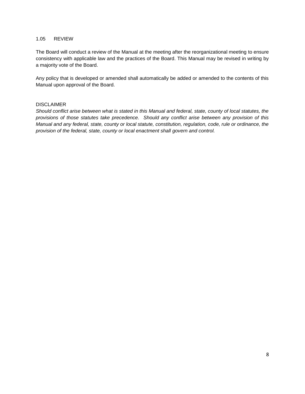#### <span id="page-8-0"></span>1.05 REVIEW

The Board will conduct a review of the Manual at the meeting after the reorganizational meeting to ensure consistency with applicable law and the practices of the Board. This Manual may be revised in writing by a majority vote of the Board.

Any policy that is developed or amended shall automatically be added or amended to the contents of this Manual upon approval of the Board.

#### DISCLAIMER

*Should conflict arise between what is stated in this Manual and federal, state, county of local statutes, the provisions of those statutes take precedence. Should any conflict arise between any provision of this Manual and any federal, state, county or local statute, constitution, regulation, code, rule or ordinance, the provision of the federal, state, county or local enactment shall govern and control.*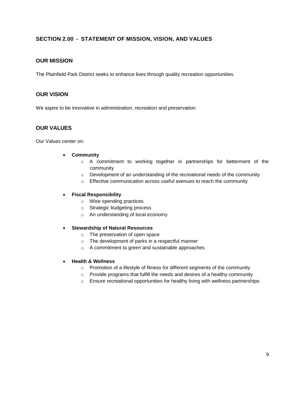# <span id="page-9-0"></span>**SECTION 2.00 - STATEMENT OF MISSION, VISION, AND VALUES**

# **OUR MISSION**

The Plainfield Park District seeks to enhance lives through quality recreation opportunities.

# **OUR VISION**

We aspire to be innovative in administration, recreation and preservation.

# **OUR VALUES**

Our Values center on:

- **Community**
	- $\circ$  A commitment to working together in partnerships for betterment of the community
	- o Development of an understanding of the recreational needs of the community
	- o Effective communication across useful avenues to reach the community

### • **Fiscal Responsibility**

- o Wise spending practices
- o Strategic budgeting process
- o An understanding of local economy
- **Stewardship of Natural Resources**
	- o The preservation of open space
	- o The development of parks in a respectful manner
	- o A commitment to green and sustainable approaches

#### • **Health & Wellness**

- o Promotion of a lifestyle of fitness for different segments of the community
- o Provide programs that fulfill the needs and desires of a healthy community
- o Ensure recreational opportunities for healthy living with wellness partnerships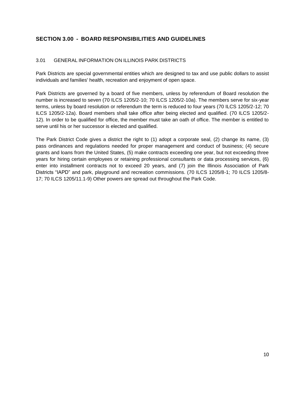# <span id="page-10-0"></span>**SECTION 3.00 - BOARD RESPONSIBILITIES AND GUIDELINES**

# <span id="page-10-1"></span>3.01 GENERAL INFORMATION ON ILLINOIS PARK DISTRICTS

Park Districts are special governmental entities which are designed to tax and use public dollars to assist individuals and families' health, recreation and enjoyment of open space.

Park Districts are governed by a board of five members, unless by referendum of Board resolution the number is increased to seven (70 ILCS 1205/2-10; 70 ILCS 1205/2-10a). The members serve for six-year terms, unless by board resolution or referendum the term is reduced to four years (70 ILCS 1205/2-12; 70 ILCS 1205/2-12a). Board members shall take office after being elected and qualified. (70 ILCS 1205/2- 12). In order to be qualified for office, the member must take an oath of office. The member is entitled to serve until his or her successor is elected and qualified.

The Park District Code gives a district the right to (1) adopt a corporate seal, (2) change its name, (3) pass ordinances and regulations needed for proper management and conduct of business; (4) secure grants and loans from the United States, (5) make contracts exceeding one year, but not exceeding three years for hiring certain employees or retaining professional consultants or data processing services, (6) enter into installment contracts not to exceed 20 years, and (7) join the Illinois Association of Park Districts "IAPD" and park, playground and recreation commissions. (70 ILCS 1205/8-1; 70 ILCS 1205/8- 17; 70 ILCS 1205/11.1-9) Other powers are spread out throughout the Park Code.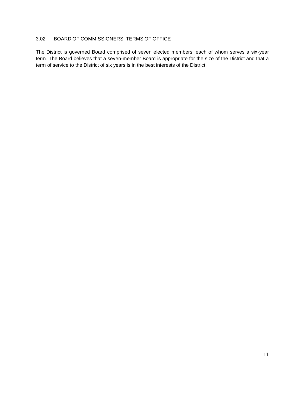# <span id="page-11-0"></span>3.02 BOARD OF COMMISSIONERS: TERMS OF OFFICE

The District is governed Board comprised of seven elected members, each of whom serves a six-year term. The Board believes that a seven-member Board is appropriate for the size of the District and that a term of service to the District of six years is in the best interests of the District.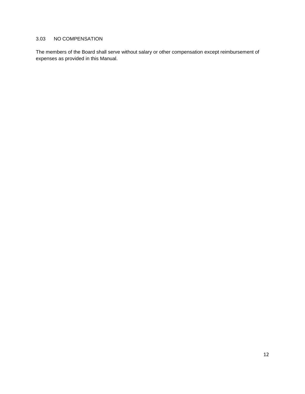# <span id="page-12-0"></span>3.03 NO COMPENSATION

The members of the Board shall serve without salary or other compensation except reimbursement of expenses as provided in this Manual.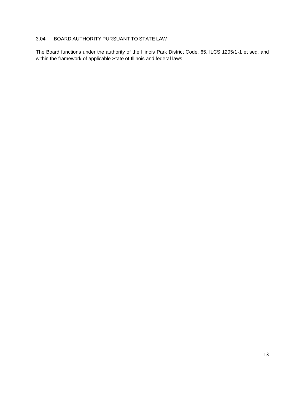# <span id="page-13-0"></span>3.04 BOARD AUTHORITY PURSUANT TO STATE LAW

The Board functions under the authority of the Illinois Park District Code, 65, ILCS 1205/1-1 et seq. and within the framework of applicable State of Illinois and federal laws.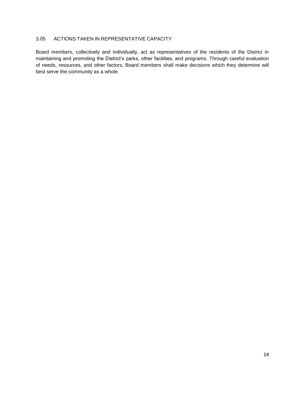# <span id="page-14-0"></span>3.05 ACTIONS TAKEN IN REPRESENTATIVE CAPACITY

Board members, collectively and individually, act as representatives of the residents of the District in maintaining and promoting the District's parks, other facilities, and programs. Through careful evaluation of needs, resources, and other factors, Board members shall make decisions which they determine will best serve the community as a whole.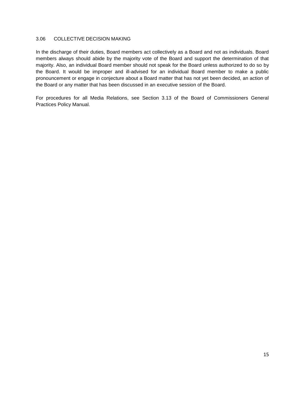### <span id="page-15-0"></span>3.06 COLLECTIVE DECISION MAKING

In the discharge of their duties, Board members act collectively as a Board and not as individuals. Board members always should abide by the majority vote of the Board and support the determination of that majority. Also, an individual Board member should not speak for the Board unless authorized to do so by the Board. It would be improper and ill-advised for an individual Board member to make a public pronouncement or engage in conjecture about a Board matter that has not yet been decided, an action of the Board or any matter that has been discussed in an executive session of the Board.

For procedures for all Media Relations, see Section 3.13 of the Board of Commissioners General Practices Policy Manual.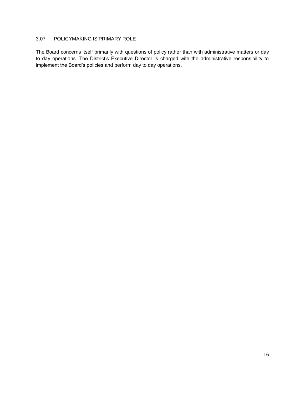# <span id="page-16-0"></span>3.07 POLICYMAKING IS PRIMARY ROLE

The Board concerns itself primarily with questions of policy rather than with administrative matters or day to day operations. The District's Executive Director is charged with the administrative responsibility to implement the Board's policies and perform day to day operations.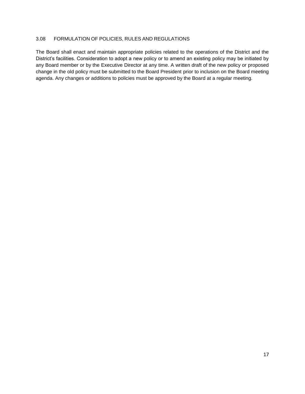### <span id="page-17-0"></span>3.08 FORMULATION OF POLICIES, RULES AND REGULATIONS

The Board shall enact and maintain appropriate policies related to the operations of the District and the District's facilities. Consideration to adopt a new policy or to amend an existing policy may be initiated by any Board member or by the Executive Director at any time. A written draft of the new policy or proposed change in the old policy must be submitted to the Board President prior to inclusion on the Board meeting agenda. Any changes or additions to policies must be approved by the Board at a regular meeting.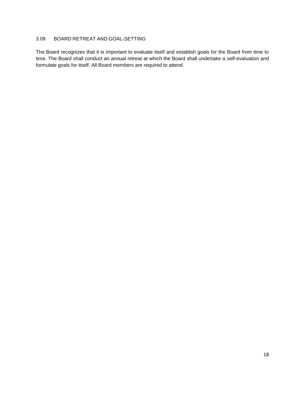# <span id="page-18-0"></span>3.09 BOARD RETREAT AND GOAL-SETTING

The Board recognizes that it is important to evaluate itself and establish goals for the Board from time to time. The Board shall conduct an annual retreat at which the Board shall undertake a self-evaluation and formulate goals for itself. All Board members are required to attend.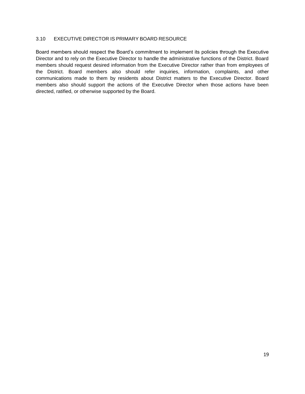### <span id="page-19-0"></span>3.10 EXECUTIVE DIRECTOR IS PRIMARY BOARD RESOURCE

Board members should respect the Board's commitment to implement its policies through the Executive Director and to rely on the Executive Director to handle the administrative functions of the District. Board members should request desired information from the Executive Director rather than from employees of the District. Board members also should refer inquiries, information, complaints, and other communications made to them by residents about District matters to the Executive Director. Board members also should support the actions of the Executive Director when those actions have been directed, ratified, or otherwise supported by the Board.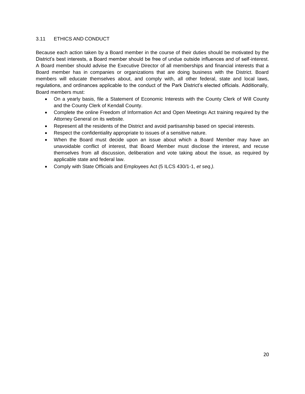### <span id="page-20-0"></span>3.11 ETHICS AND CONDUCT

Because each action taken by a Board member in the course of their duties should be motivated by the District's best interests, a Board member should be free of undue outside influences and of self-interest. A Board member should advise the Executive Director of all memberships and financial interests that a Board member has in companies or organizations that are doing business with the District. Board members will educate themselves about, and comply with, all other federal, state and local laws, regulations, and ordinances applicable to the conduct of the Park District's elected officials. Additionally, Board members must:

- On a yearly basis, file a Statement of Economic Interests with the County Clerk of Will County and the County Clerk of Kendall County.
- Complete the online Freedom of Information Act and Open Meetings Act training required by the Attorney General on its website.
- Represent all the residents of the District and avoid partisanship based on special interests.
- Respect the confidentiality appropriate to issues of a sensitive nature.
- When the Board must decide upon an issue about which a Board Member may have an unavoidable conflict of interest, that Board Member must disclose the interest, and recuse themselves from all discussion, deliberation and vote taking about the issue, as required by applicable state and federal law.
- Comply with State Officials and Employees Act (5 ILCS 430/1-1, *et seq.).*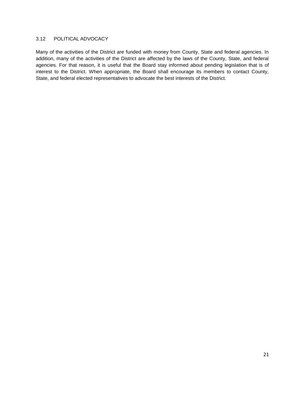### <span id="page-21-0"></span>3.12 POLITICAL ADVOCACY

Many of the activities of the District are funded with money from County, State and federal agencies. In addition, many of the activities of the District are affected by the laws of the County, State, and federal agencies. For that reason, it is useful that the Board stay informed about pending legislation that is of interest to the District. When appropriate, the Board shall encourage its members to contact County, State, and federal elected representatives to advocate the best interests of the District.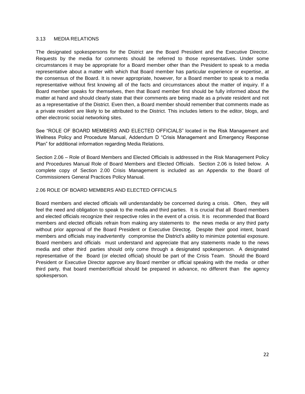### <span id="page-22-0"></span>3.13 MEDIA RELATIONS

The designated spokespersons for the District are the Board President and the Executive Director. Requests by the media for comments should be referred to those representatives. Under some circumstances it may be appropriate for a Board member other than the President to speak to a media representative about a matter with which that Board member has particular experience or expertise, at the consensus of the Board. It is never appropriate, however, for a Board member to speak to a media representative without first knowing all of the facts and circumstances about the matter of inquiry. If a Board member speaks for themselves, then that Board member first should be fully informed about the matter at hand and should clearly state that their comments are being made as a private resident and not as a representative of the District. Even then, a Board member should remember that comments made as a private resident are likely to be attributed to the District. This includes letters to the editor, blogs, and other electronic social networking sites.

See "ROLE OF BOARD MEMBERS AND ELECTED OFFICIALS" located in the Risk Management and Wellness Policy and Procedure Manual, Addendum D "Crisis Management and Emergency Response Plan" for additional information regarding Media Relations.

Section 2.06 – Role of Board Members and Elected Officials is addressed in the Risk Management Policy and Procedures Manual Role of Board Members and Elected Officials. Section 2.06 is listed below. A complete copy of Section 2.00 Crisis Management is included as an Appendix to the Board of Commissioners General Practices Policy Manual.

### 2.06 ROLE OF BOARD MEMBERS AND ELECTED OFFICIALS

Board members and elected officials will understandably be concerned during a crisis. Often, they will feel the need and obligation to speak to the media and third parties. It is crucial that all Board members and elected officials recognize their respective roles in the event of a crisis. It is recommended that Board members and elected officials refrain from making any statements to the news media or any third party without prior approval of the Board President or Executive Directo**r.** Despite their good intent, board members and officials may inadvertently compromise the District's ability to minimize potential exposure. Board members and officials must understand and appreciate that any statements made to the news media and other third parties should only come through a designated spokesperson. A designated representative of the Board (or elected official) should be part of the Crisis Team. Should the Board President or Executive Director approve any Board member or official speaking with the media or other third party, that board member/official should be prepared in advance, no different than the agency spokesperson.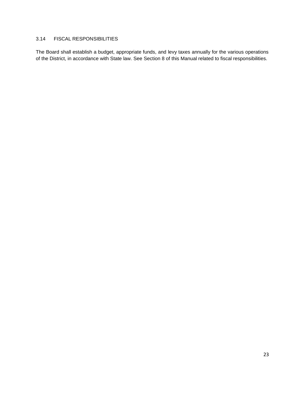# <span id="page-23-0"></span>3.14 FISCAL RESPONSIBILITIES

The Board shall establish a budget, appropriate funds, and levy taxes annually for the various operations of the District, in accordance with State law. See Section 8 of this Manual related to fiscal responsibilities.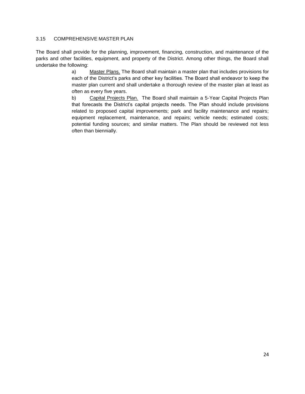### <span id="page-24-0"></span>3.15 COMPREHENSIVE MASTER PLAN

The Board shall provide for the planning, improvement, financing, construction, and maintenance of the parks and other facilities, equipment, and property of the District. Among other things, the Board shall undertake the following:

> a) Master Plans. The Board shall maintain a master plan that includes provisions for each of the District's parks and other key facilities. The Board shall endeavor to keep the master plan current and shall undertake a thorough review of the master plan at least as often as every five years.

> b) Capital Projects Plan. The Board shall maintain a 5-Year Capital Projects Plan that forecasts the District's capital projects needs. The Plan should include provisions related to proposed capital improvements; park and facility maintenance and repairs; equipment replacement, maintenance, and repairs; vehicle needs; estimated costs; potential funding sources; and similar matters. The Plan should be reviewed not less often than biennially.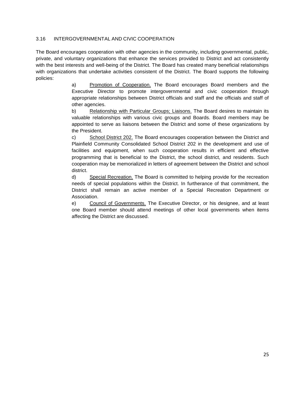### <span id="page-25-0"></span>3.16 INTERGOVERNMENTAL AND CIVIC COOPERATION

The Board encourages cooperation with other agencies in the community, including governmental, public, private, and voluntary organizations that enhance the services provided to District and act consistently with the best interests and well-being of the District. The Board has created many beneficial relationships with organizations that undertake activities consistent of the District. The Board supports the following policies:

> a) Promotion of Cooperation. The Board encourages Board members and the Executive Director to promote intergovernmental and civic cooperation through appropriate relationships between District officials and staff and the officials and staff of other agencies.

> b) Relationship with Particular Groups; Liaisons. The Board desires to maintain its valuable relationships with various civic groups and Boards. Board members may be appointed to serve as liaisons between the District and some of these organizations by the President.

> c) School District 202. The Board encourages cooperation between the District and Plainfield Community Consolidated School District 202 in the development and use of facilities and equipment, when such cooperation results in efficient and effective programming that is beneficial to the District, the school district, and residents. Such cooperation may be memorialized in letters of agreement between the District and school district.

> d) Special Recreation. The Board is committed to helping provide for the recreation needs of special populations within the District. In furtherance of that commitment, the District shall remain an active member of a Special Recreation Department or Association.

> e) Council of Governments. The Executive Director, or his designee, and at least one Board member should attend meetings of other local governments when items affecting the District are discussed.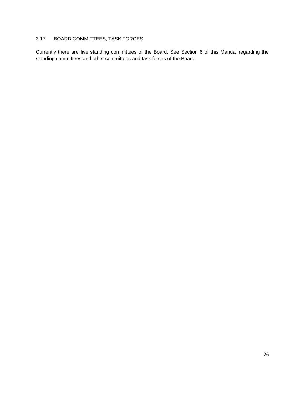# <span id="page-26-0"></span>3.17 BOARD COMMITTEES, TASK FORCES

Currently there are five standing committees of the Board. See Section 6 of this Manual regarding the standing committees and other committees and task forces of the Board.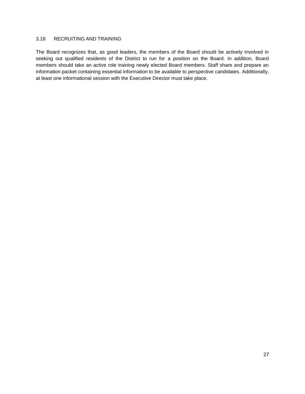### <span id="page-27-0"></span>3.18 RECRUITING AND TRAINING

The Board recognizes that, as good leaders, the members of the Board should be actively involved in seeking out qualified residents of the District to run for a position on the Board. In addition, Board members should take an active role training newly elected Board members. Staff share and prepare an information packet containing essential information to be available to perspective candidates. Additionally, at least one informational session with the Executive Director must take place.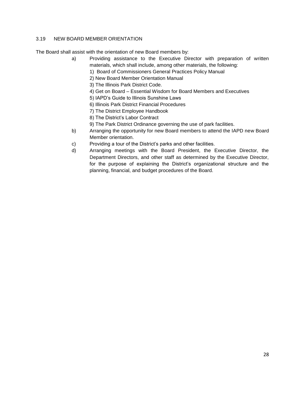# <span id="page-28-0"></span>3.19 NEW BOARD MEMBER ORIENTATION

The Board shall assist with the orientation of new Board members by:

- a) Providing assistance to the Executive Director with preparation of written materials, which shall include, among other materials, the following:
	- 1) Board of Commissioners General Practices Policy Manual
	- 2) New Board Member Orientation Manual
	- 3) The Illinois Park District Code.
	- 4) Get on Board Essential Wisdom for Board Members and Executives
	- 5) IAPD's Guide to Illinois Sunshine Laws
	- 6) Illinois Park District Financial Procedures
	- 7) The District Employee Handbook
	- 8) The District's Labor Contract
	- 9) The Park District Ordinance governing the use of park facilities.
- b) Arranging the opportunity for new Board members to attend the IAPD new Board Member orientation.
- c) Providing a tour of the District's parks and other facilities.
- d) Arranging meetings with the Board President, the Executive Director, the Department Directors, and other staff as determined by the Executive Director, for the purpose of explaining the District's organizational structure and the planning, financial, and budget procedures of the Board.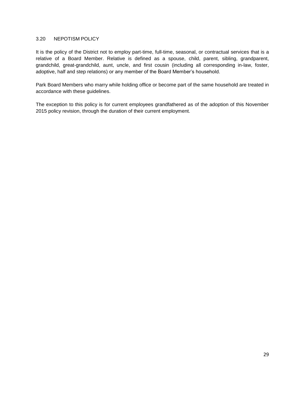### <span id="page-29-0"></span>3.20 NEPOTISM POLICY

It is the policy of the District not to employ part-time, full-time, seasonal, or contractual services that is a relative of a Board Member. Relative is defined as a spouse, child, parent, sibling, grandparent, grandchild, great-grandchild, aunt, uncle, and first cousin (including all corresponding in-law, foster, adoptive, half and step relations) or any member of the Board Member's household.

Park Board Members who marry while holding office or become part of the same household are treated in accordance with these guidelines.

The exception to this policy is for current employees grandfathered as of the adoption of this November 2015 policy revision, through the duration of their current employment.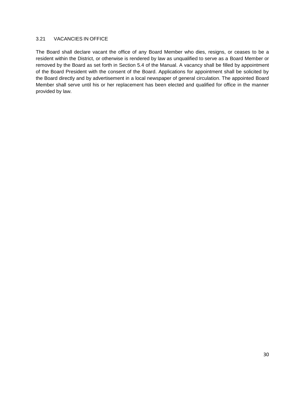### <span id="page-30-0"></span>3.21 VACANCIES IN OFFICE

<span id="page-30-1"></span>The Board shall declare vacant the office of any Board Member who dies, resigns, or ceases to be a resident within the District, or otherwise is rendered by law as unqualified to serve as a Board Member or removed by the Board as set forth in Section 5.4 of the Manual. A vacancy shall be filled by appointment of the Board President with the consent of the Board. Applications for appointment shall be solicited by the Board directly and by advertisement in a local newspaper of general circulation. The appointed Board Member shall serve until his or her replacement has been elected and qualified for office in the manner provided by law.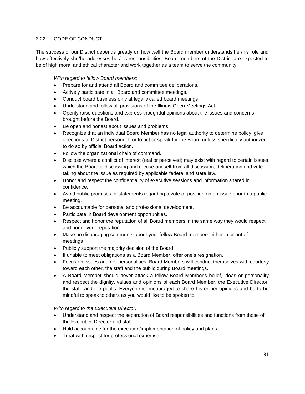# 3.22 CODE OF CONDUCT

The success of our District depends greatly on how well the Board member understands her/his role and how effectively she/he addresses her/his responsibilities. Board members of the District are expected to be of high moral and ethical character and work together as a team to serve the community.

### *With regard to fellow Board members:*

- Prepare for and attend all Board and committee deliberations.
- Actively participate in all Board and committee meetings.
- Conduct board business only at legally called board meetings
- Understand and follow all provisions of the Illinois Open Meetings Act.
- Openly raise questions and express thoughtful opinions about the issues and concerns brought before the Board.
- Be open and honest about issues and problems.
- Recognize that an individual Board Member has no legal authority to determine policy, give directions to District personnel, or to act or speak for the Board unless specifically authorized to do so by official Board action.
- Follow the organizational chain of command.
- Disclose where a conflict of interest (real or perceived) may exist with regard to certain issues which the Board is discussing and recuse oneself from all discussion, deliberation and vote taking about the issue as required by applicable federal and state law.
- Honor and respect the confidentiality of executive sessions and information shared in confidence.
- Avoid public promises or statements regarding a vote or position on an issue prior to a public meeting.
- Be accountable for personal and professional development.
- Participate in Board development opportunities.
- Respect and honor the reputation of all Board members in the same way they would respect and honor your reputation.
- Make no disparaging comments about your fellow Board members either in or out of meetings
- Publicly support the majority decision of the Board
- If unable to meet obligations as a Board Member, offer one's resignation.
- Focus on issues and not personalities. Board Members will conduct themselves with courtesy toward each other, the staff and the public during Board meetings.
- A Board Member should never attack a fellow Board Member's belief, ideas or personality and respect the dignity, values and opinions of each Board Member, the Executive Director, the staff, and the public. Everyone is encouraged to share his or her opinions and be to be mindful to speak to others as you would like to be spoken to.

### *With regard to the Executive Director:*

- Understand and respect the separation of Board responsibilities and functions from those of the Executive Director and staff.
- Hold accountable for the execution/implementation of policy and plans.
- Treat with respect for professional expertise.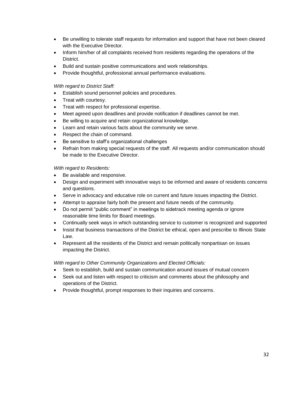- Be unwilling to tolerate staff requests for information and support that have not been cleared with the Executive Director.
- Inform him/her of all complaints received from residents regarding the operations of the District.
- Build and sustain positive communications and work relationships.
- Provide thoughtful, professional annual performance evaluations.

### *With regard to District Staff:*

- Establish sound personnel policies and procedures.
- Treat with courtesy.
- Treat with respect for professional expertise.
- Meet agreed upon deadlines and provide notification if deadlines cannot be met.
- Be willing to acquire and retain organizational knowledge.
- Learn and retain various facts about the community we serve.
- Respect the chain of command.
- Be sensitive to staff's organizational challenges
- Refrain from making special requests of the staff. All requests and/or communication should be made to the Executive Director.

### *With regard to Residents:*

- Be available and responsive.
- Design and experiment with innovative ways to be informed and aware of residents concerns and questions.
- Serve in advocacy and educative role on current and future issues impacting the District.
- Attempt to appraise fairly both the present and future needs of the community.
- Do not permit "public comment" in meetings to sidetrack meeting agenda or ignore reasonable time limits for Board meetings.
- Continually seek ways in which outstanding service to customer is recognized and supported
- Insist that business transactions of the District be ethical, open and prescribe to Illinois State Law.
- Represent all the residents of the District and remain politically nonpartisan on issues impacting the District.

### *With regard to Other Community Organizations and Elected Officials:*

- Seek to establish, build and sustain communication around issues of mutual concern
- Seek out and listen with respect to criticism and comments about the philosophy and operations of the District.
- Provide thoughtful, prompt responses to their inquiries and concerns.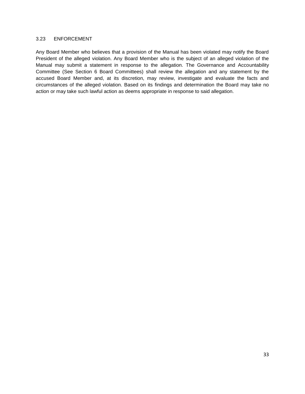### <span id="page-33-0"></span>3.23 ENFORCEMENT

Any Board Member who believes that a provision of the Manual has been violated may notify the Board President of the alleged violation. Any Board Member who is the subject of an alleged violation of the Manual may submit a statement in response to the allegation. The Governance and Accountability Committee (See Section 6 Board Committees) shall review the allegation and any statement by the accused Board Member and, at its discretion, may review, investigate and evaluate the facts and circumstances of the alleged violation. Based on its findings and determination the Board may take no action or may take such lawful action as deems appropriate in response to said allegation.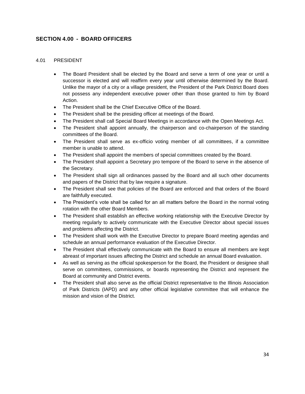# <span id="page-34-0"></span>**SECTION 4.00 - BOARD OFFICERS**

#### <span id="page-34-1"></span>4.01 PRESIDENT

- The Board President shall be elected by the Board and serve a term of one year or until a successor is elected and will reaffirm every year until otherwise determined by the Board. Unlike the mayor of a city or a village president, the President of the Park District Board does not possess any independent executive power other than those granted to him by Board Action.
- The President shall be the Chief Executive Office of the Board.
- The President shall be the presiding officer at meetings of the Board.
- The President shall call Special Board Meetings in accordance with the Open Meetings Act.
- The President shall appoint annually, the chairperson and co-chairperson of the standing committees of the Board.
- The President shall serve as ex-officio voting member of all committees, if a committee member is unable to attend.
- The President shall appoint the members of special committees created by the Board.
- The President shall appoint a Secretary pro tempore of the Board to serve in the absence of the Secretary.
- The President shall sign all ordinances passed by the Board and all such other documents and papers of the District that by law require a signature.
- The President shall see that policies of the Board are enforced and that orders of the Board are faithfully executed.
- The President's vote shall be called for an all matters before the Board in the normal voting rotation with the other Board Members.
- The President shall establish an effective working relationship with the Executive Director by meeting regularly to actively communicate with the Executive Director about special issues and problems affecting the District.
- The President shall work with the Executive Director to prepare Board meeting agendas and schedule an annual performance evaluation of the Executive Director.
- The President shall effectively communicate with the Board to ensure all members are kept abreast of important issues affecting the District and schedule an annual Board evaluation.
- As well as serving as the official spokesperson for the Board, the President or designee shall serve on committees, commissions, or boards representing the District and represent the Board at community and District events.
- The President shall also serve as the official District representative to the Illinois Association of Park Districts (IAPD) and any other official legislative committee that will enhance the mission and vision of the District.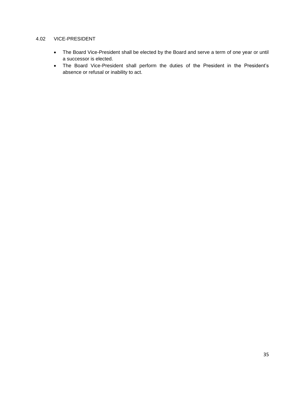# <span id="page-35-0"></span>4.02 VICE-PRESIDENT

- The Board Vice-President shall be elected by the Board and serve a term of one year or until a successor is elected.
- The Board Vice-President shall perform the duties of the President in the President's absence or refusal or inability to act.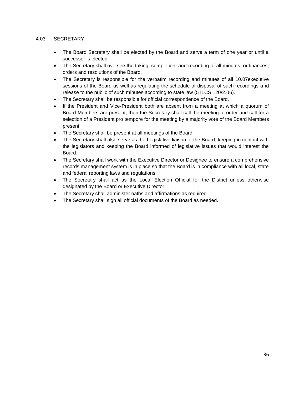### 4.03 SECRETARY

- The Board Secretary shall be elected by the Board and serve a term of one year or until a successor is elected.
- The Secretary shall oversee the taking, completion, and recording of all minutes, ordinances, orders and resolutions of the Board.
- The Secretary is responsible for the verbatim recording and minutes of all 10.07executive sessions of the Board as well as regulating the schedule of disposal of such recordings and release to the public of such minutes according to state law (5 ILCS 120/2.06).
- The Secretary shall be responsible for official correspondence of the Board.
- If the President and Vice-President both are absent from a meeting at which a quorum of Board Members are present, then the Secretary shall call the meeting to order and call for a selection of a President pro tempore for the meeting by a majority vote of the Board Members present.
- The Secretary shall be present at all meetings of the Board.
- The Secretary shall also serve as the Legislative liaison of the Board, keeping in contact with the legislators and keeping the Board informed of legislative issues that would interest the Board.
- The Secretary shall work with the Executive Director or Designee to ensure a comprehensive records management system is in place so that the Board is in compliance with all local, state and federal reporting laws and regulations.
- The Secretary shall act as the Local Election Official for the District unless otherwise designated by the Board or Executive Director.
- The Secretary shall administer oaths and affirmations as required.
- The Secretary shall sign all official documents of the Board as needed.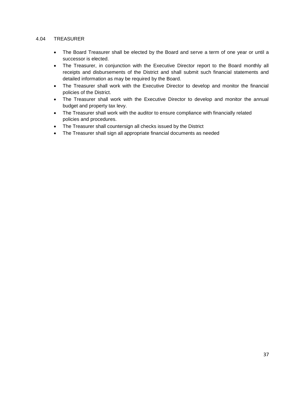### 4.04 TREASURER

- The Board Treasurer shall be elected by the Board and serve a term of one year or until a successor is elected.
- The Treasurer, in conjunction with the Executive Director report to the Board monthly all receipts and disbursements of the District and shall submit such financial statements and detailed information as may be required by the Board.
- The Treasurer shall work with the Executive Director to develop and monitor the financial policies of the District.
- The Treasurer shall work with the Executive Director to develop and monitor the annual budget and property tax levy.
- The Treasurer shall work with the auditor to ensure compliance with financially related policies and procedures.
- The Treasurer shall countersign all checks issued by the District
- The Treasurer shall sign all appropriate financial documents as needed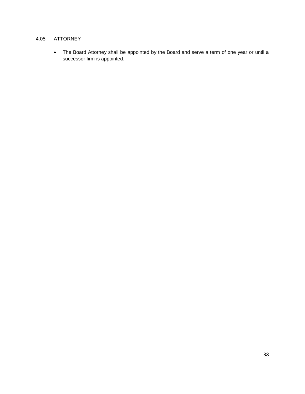# 4.05 ATTORNEY

• The Board Attorney shall be appointed by the Board and serve a term of one year or until a successor firm is appointed.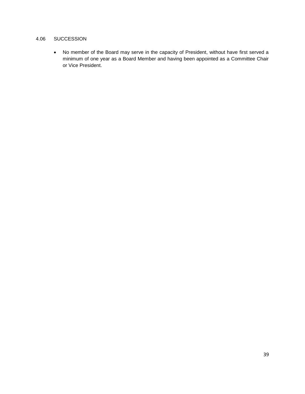### 4.06 SUCCESSION

• No member of the Board may serve in the capacity of President, without have first served a minimum of one year as a Board Member and having been appointed as a Committee Chair or Vice President.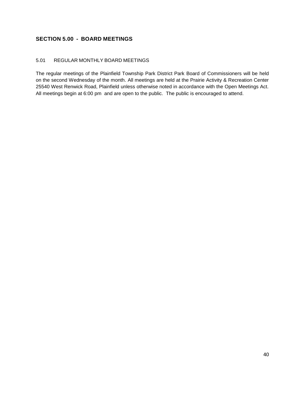# **SECTION 5.00 - BOARD MEETINGS**

# 5.01 REGULAR MONTHLY BOARD MEETINGS

The regular meetings of the Plainfield Township Park District Park Board of Commissioners will be held on the second Wednesday of the month. All meetings are held at the Prairie Activity & Recreation Center 25540 West Renwick Road, Plainfield unless otherwise noted in accordance with the Open Meetings Act. All meetings begin at 6:00 pm and are open to the public. The public is encouraged to attend.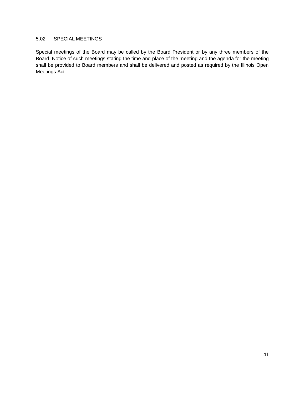# 5.02 SPECIAL MEETINGS

Special meetings of the Board may be called by the Board President or by any three members of the Board. Notice of such meetings stating the time and place of the meeting and the agenda for the meeting shall be provided to Board members and shall be delivered and posted as required by the Illinois Open Meetings Act.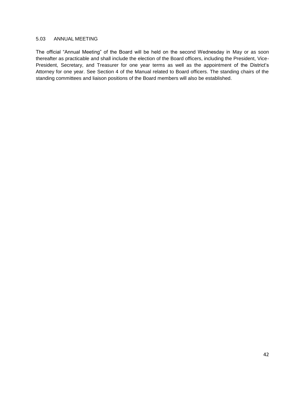#### 5.03 ANNUAL MEETING

The official "Annual Meeting" of the Board will be held on the second Wednesday in May or as soon thereafter as practicable and shall include the election of the Board officers, including the President, Vice-President, Secretary, and Treasurer for one year terms as well as the appointment of the District's Attorney for one year. See Section 4 of the Manual related to Board officers. The standing chairs of the standing committees and liaison positions of the Board members will also be established.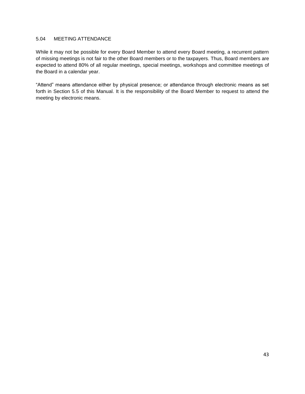### 5.04 MEETING ATTENDANCE

While it may not be possible for every Board Member to attend every Board meeting, a recurrent pattern of missing meetings is not fair to the other Board members or to the taxpayers. Thus, Board members are expected to attend 80% of all regular meetings, special meetings, workshops and committee meetings of the Board in a calendar year.

"Attend" means attendance either by physical presence; or attendance through electronic means as set forth in Section 5.5 of this Manual. It is the responsibility of the Board Member to request to attend the meeting by electronic means.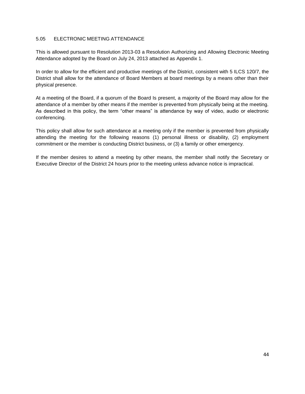### 5.05 ELECTRONIC MEETING ATTENDANCE

This is allowed pursuant to Resolution 2013-03 a Resolution Authorizing and Allowing Electronic Meeting Attendance adopted by the Board on July 24, 2013 attached as Appendix 1.

In order to allow for the efficient and productive meetings of the District, consistent with 5 ILCS 120/7, the District shall allow for the attendance of Board Members at board meetings by a means other than their physical presence.

At a meeting of the Board, if a quorum of the Board Is present, a majority of the Board may allow for the attendance of a member by other means if the member is prevented from physically being at the meeting. As described in this policy, the term "other means" is attendance by way of video, audio or electronic conferencing.

This policy shall allow for such attendance at a meeting only if the member is prevented from physically attending the meeting for the following reasons (1) personal illness or disability, (2) employment commitment or the member is conducting District business, or (3) a family or other emergency.

If the member desires to attend a meeting by other means, the member shall notify the Secretary or Executive Director of the District 24 hours prior to the meeting unless advance notice is impractical.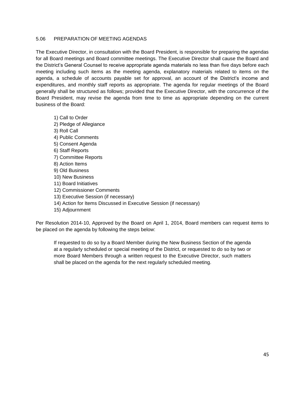### 5.06 PREPARATION OF MEETING AGENDAS

The Executive Director, in consultation with the Board President, is responsible for preparing the agendas for all Board meetings and Board committee meetings. The Executive Director shall cause the Board and the District's General Counsel to receive appropriate agenda materials no less than five days before each meeting including such items as the meeting agenda, explanatory materials related to items on the agenda, a schedule of accounts payable set for approval, an account of the District's income and expenditures, and monthly staff reports as appropriate. The agenda for regular meetings of the Board generally shall be structured as follows; provided that the Executive Director, with the concurrence of the Board President, may revise the agenda from time to time as appropriate depending on the current business of the Board:

1) Call to Order 2) Pledge of Allegiance 3) Roll Call 4) Public Comments 5) Consent Agenda 6) Staff Reports 7) Committee Reports 8) Action Items 9) Old Business 10) New Business 11) Board Initiatives 12) Commissioner Comments 13) Executive Session (if necessary)

- 14) Action for Items Discussed in Executive Session (if necessary)
- 15) Adjournment

Per Resolution 2014-10, Approved by the Board on April 1, 2014, Board members can request items to be placed on the agenda by following the steps below:

If requested to do so by a Board Member during the New Business Section of the agenda at a regularly scheduled or special meeting of the District, or requested to do so by two or more Board Members through a written request to the Executive Director, such matters shall be placed on the agenda for the next regularly scheduled meeting.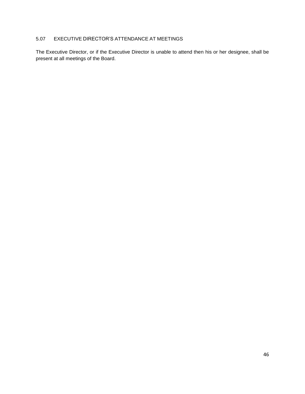# 5.07 EXECUTIVE DIRECTOR'S ATTENDANCE AT MEETINGS

The Executive Director, or if the Executive Director is unable to attend then his or her designee, shall be present at all meetings of the Board.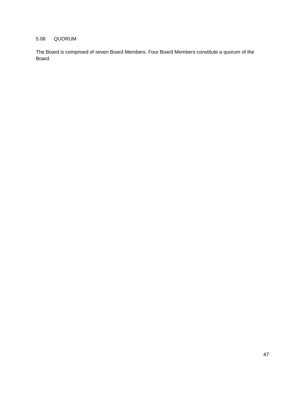### 5.08 QUORUM

The Board is comprised of seven Board Members. Four Board Members constitute a quorum of the Board.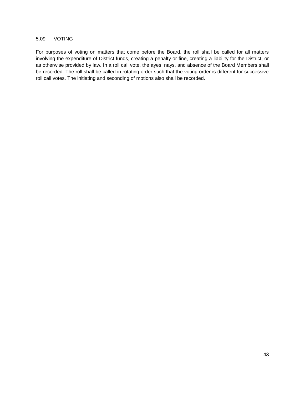#### 5.09 VOTING

For purposes of voting on matters that come before the Board, the roll shall be called for all matters involving the expenditure of District funds, creating a penalty or fine, creating a liability for the District, or as otherwise provided by law. In a roll call vote, the ayes, nays, and absence of the Board Members shall be recorded. The roll shall be called in rotating order such that the voting order is different for successive roll call votes. The initiating and seconding of motions also shall be recorded.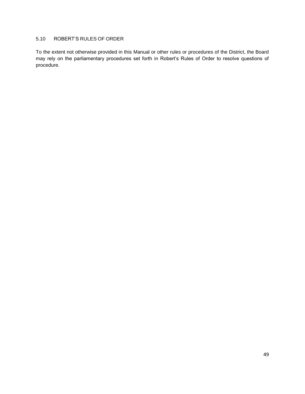# 5.10 ROBERT'S RULES OF ORDER

To the extent not otherwise provided in this Manual or other rules or procedures of the District, the Board may rely on the parliamentary procedures set forth in Robert's Rules of Order to resolve questions of procedure.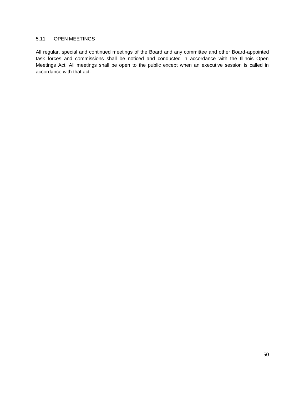# 5.11 OPEN MEETINGS

All regular, special and continued meetings of the Board and any committee and other Board-appointed task forces and commissions shall be noticed and conducted in accordance with the Illinois Open Meetings Act. All meetings shall be open to the public except when an executive session is called in accordance with that act.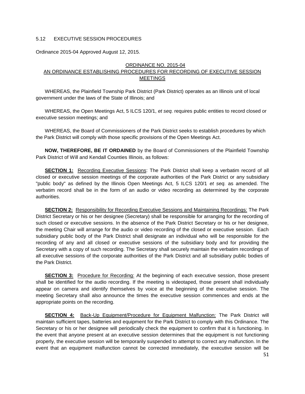### 5.12 EXECUTIVE SESSION PROCEDURES

Ordinance 2015-04 Approved August 12, 2015.

#### ORDINANCE NO. 2015-04

### AN ORDINANCE ESTABLISHING PROCEDURES FOR RECORDING OF EXECUTIVE SESSION MEETINGS

WHEREAS, the Plainfield Township Park District (Park District) operates as an Illinois unit of local government under the laws of the State of Illinois; and

WHEREAS, the Open Meetings Act, 5 ILCS 120/1, *et seq.* requires public entities to record closed or executive session meetings; and

WHEREAS, the Board of Commissioners of the Park District seeks to establish procedures by which the Park District will comply with those specific provisions of the Open Meetings Act.

**NOW, THEREFORE, BE IT ORDAINED** by the Board of Commissioners of the Plainfield Township Park District of Will and Kendall Counties Illinois, as follows:

**SECTION 1:** Recording Executive Sessions: The Park District shall keep a verbatim record of all closed or executive session meetings of the corporate authorities of the Park District or any subsidiary "public body" as defined by the Illinois Open Meetings Act, 5 ILCS 120/1 *et seq.* as amended. The verbatim record shall be in the form of an audio or video recording as determined by the corporate authorities.

**SECTION 2:** Responsibility for Recording Executive Sessions and Maintaining Recordings: The Park District Secretary or his or her designee (Secretary) shall be responsible for arranging for the recording of such closed or executive sessions. In the absence of the Park District Secretary or his or her designee, the meeting Chair will arrange for the audio or video recording of the closed or executive session. Each subsidiary public body of the Park District shall designate an individual who will be responsible for the recording of any and all closed or executive sessions of the subsidiary body and for providing the Secretary with a copy of such recording. The Secretary shall securely maintain the verbatim recordings of all executive sessions of the corporate authorities of the Park District and all subsidiary public bodies of the Park District.

**SECTION 3:** Procedure for Recording: At the beginning of each executive session, those present shall be identified for the audio recording. If the meeting is videotaped, those present shall individually appear on camera and identify themselves by voice at the beginning of the executive session. The meeting Secretary shall also announce the times the executive session commences and ends at the appropriate points on the recording.

**SECTION 4:** Back-Up Equipment/Procedure for Equipment Malfunction: The Park District will maintain sufficient tapes, batteries and equipment for the Park District to comply with this Ordinance. The Secretary or his or her designee will periodically check the equipment to confirm that it is functioning. In the event that anyone present at an executive session determines that the equipment is not functioning properly, the executive session will be temporarily suspended to attempt to correct any malfunction. In the event that an equipment malfunction cannot be corrected immediately, the executive session will be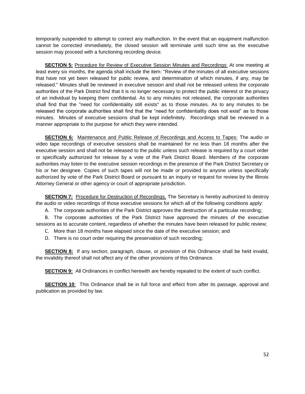temporarily suspended to attempt to correct any malfunction. In the event that an equipment malfunction cannot be corrected immediately, the closed session will terminate until such time as the executive session may proceed with a functioning recording device.

**SECTION 5:** Procedure for Review of Executive Session Minutes and Recordings: At one meeting at least every six months, the agenda shall include the item: "Review of the minutes of all executive sessions that have not yet been released for public review, and determination of which minutes, if any, may be released." Minutes shall be reviewed in executive session and shall not be released unless the corporate authorities of the Park District find that it is no longer necessary to protect the public interest or the privacy of an individual by keeping them confidential. As to any minutes not released, the corporate authorities shall find that the "need for confidentiality still exists" as to those minutes. As to any minutes to be released the corporate authorities shall find that the "need for confidentiality does not exist" as to those minutes. Minutes of executive sessions shall be kept indefinitely. Recordings shall be reviewed in a manner appropriate to the purpose for which they were intended.

**SECTION 6:** Maintenance and Public Release of Recordings and Access to Tapes: The audio or video tape recordings of executive sessions shall be maintained for no less than 18 months after the executive session and shall not be released to the public unless such release is required by a court order or specifically authorized for release by a vote of the Park District Board. Members of the corporate authorities may listen to the executive session recordings in the presence of the Park District Secretary or his or her designee. Copies of such tapes will not be made or provided to anyone unless specifically authorized by vote of the Park District Board or pursuant to an inquiry or request for review by the Illinois Attorney General or other agency or court of appropriate jurisdiction.

**SECTION 7:** Procedure for Destruction of Recordings. The Secretary is hereby authorized to destroy the audio or video recordings of those executive sessions for which all of the following conditions apply:

A. The corporate authorities of the Park District approves the destruction of a particular recording;

B. The corporate authorities of the Park District have approved the minutes of the executive sessions as to accurate content, regardless of whether the minutes have been released for public review;

C. More than 18 months have elapsed since the date of the executive session; and

D. There is no court order requiring the preservation of such recording;

**SECTION 8:** If any section, paragraph, clause, or provision of this Ordinance shall be held invalid, the invalidity thereof shall not affect any of the other provisions of this Ordinance.

**SECTION 9:** All Ordinances in conflict herewith are hereby repealed to the extent of such conflict.

**SECTION 10:** This Ordinance shall be in full force and effect from after its passage, approval and publication as provided by law.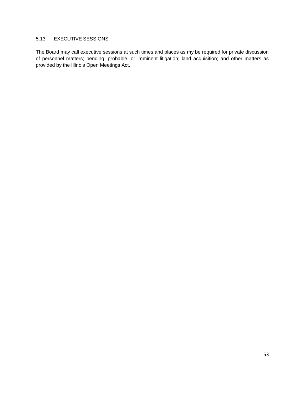# 5.13 EXECUTIVE SESSIONS

The Board may call executive sessions at such times and places as my be required for private discussion of personnel matters; pending, probable, or imminent litigation; land acquisition; and other matters as provided by the Illinois Open Meetings Act.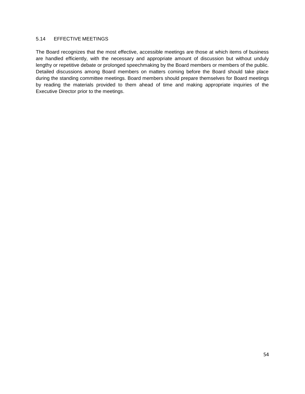#### 5.14 EFFECTIVE MEETINGS

The Board recognizes that the most effective, accessible meetings are those at which items of business are handled efficiently, with the necessary and appropriate amount of discussion but without unduly lengthy or repetitive debate or prolonged speechmaking by the Board members or members of the public. Detailed discussions among Board members on matters coming before the Board should take place during the standing committee meetings. Board members should prepare themselves for Board meetings by reading the materials provided to them ahead of time and making appropriate inquiries of the Executive Director prior to the meetings.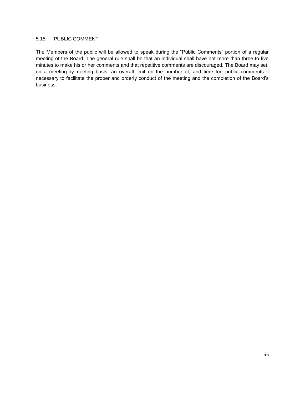#### 5.15 PUBLIC COMMENT

The Members of the public will be allowed to speak during the "Public Comments" portion of a regular meeting of the Board. The general rule shall be that an individual shall have not more than three to five minutes to make his or her comments and that repetitive comments are discouraged. The Board may set, on a meeting-by-meeting basis, an overall limit on the number of, and time for, public comments if necessary to facilitate the proper and orderly conduct of the meeting and the completion of the Board's business.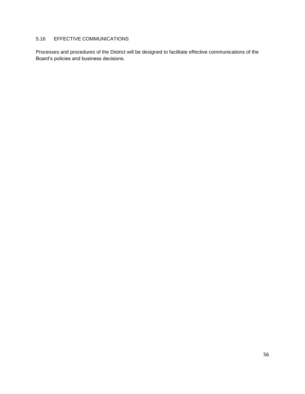# 5.16 EFFECTIVE COMMUNICATIONS

Processes and procedures of the District will be designed to facilitate effective communications of the Board's policies and business decisions.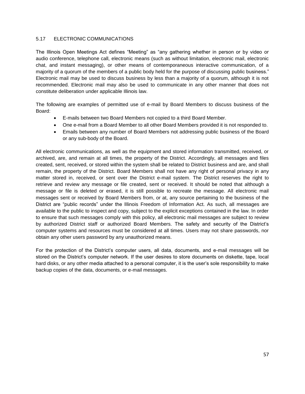### 5.17 ELECTRONIC COMMUNICATIONS

The Illinois Open Meetings Act defines "Meeting" as "any gathering whether in person or by video or audio conference, telephone call, electronic means (such as without limitation, electronic mail, electronic chat, and instant messaging), or other means of contemporaneous interactive communication, of a majority of a quorum of the members of a public body held for the purpose of discussing public business." Electronic mail may be used to discuss business by less than a majority of a quorum, although it is not recommended. Electronic mail may also be used to communicate in any other manner that does not constitute deliberation under applicable Illinois law.

The following are examples of permitted use of e-mail by Board Members to discuss business of the Board:

- E-mails between two Board Members not copied to a third Board Member.
- One e-mail from a Board Member to all other Board Members provided it is not responded to.
- Emails between any number of Board Members not addressing public business of the Board or any sub-body of the Board.

All electronic communications, as well as the equipment and stored information transmitted, received, or archived, are, and remain at all times, the property of the District. Accordingly, all messages and files created, sent, received, or stored within the system shall be related to District business and are, and shall remain, the property of the District. Board Members shall not have any right of personal privacy in any matter stored in, received, or sent over the District e-mail system. The District reserves the right to retrieve and review any message or file created, sent or received. It should be noted that although a message or file is deleted or erased, it is still possible to recreate the message. All electronic mail messages sent or received by Board Members from, or at, any source pertaining to the business of the District are "public records" under the Illinois Freedom of Information Act. As such, all messages are available to the public to inspect and copy, subject to the explicit exceptions contained in the law. In order to ensure that such messages comply with this policy, all electronic mail messages are subject to review by authorized District staff or authorized Board Members. The safety and security of the District's computer systems and resources must be considered at all times. Users may not share passwords, nor obtain any other users password by any unauthorized means.

For the protection of the District's computer users, all data, documents, and e-mail messages will be stored on the District's computer network. If the user desires to store documents on diskette, tape, local hard disks, or any other media attached to a personal computer, it is the user's sole responsibility to make backup copies of the data, documents, or e-mail messages.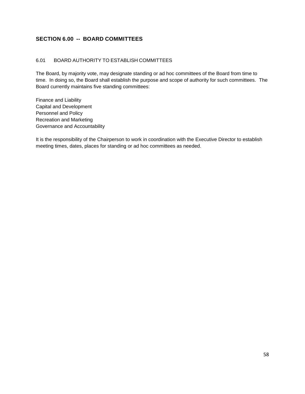# **SECTION 6.00 -- BOARD COMMITTEES**

### 6.01 BOARD AUTHORITY TO ESTABLISH COMMITTEES

The Board, by majority vote, may designate standing or ad hoc committees of the Board from time to time. In doing so, the Board shall establish the purpose and scope of authority for such committees. The Board currently maintains five standing committees:

Finance and Liability Capital and Development Personnel and Policy Recreation and Marketing Governance and Accountability

It is the responsibility of the Chairperson to work in coordination with the Executive Director to establish meeting times, dates, places for standing or ad hoc committees as needed.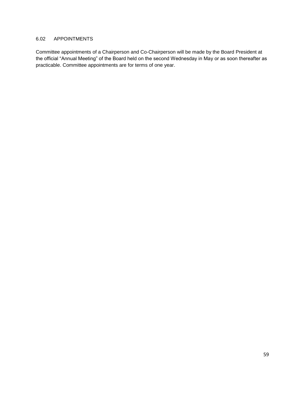# 6.02 APPOINTMENTS

Committee appointments of a Chairperson and Co-Chairperson will be made by the Board President at the official "Annual Meeting" of the Board held on the second Wednesday in May or as soon thereafter as practicable. Committee appointments are for terms of one year.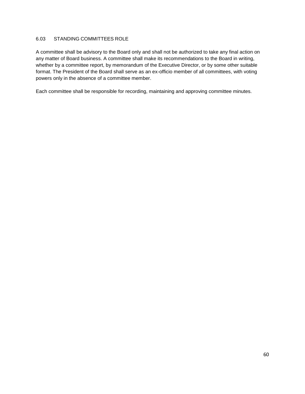### 6.03 STANDING COMMITTEES ROLE

A committee shall be advisory to the Board only and shall not be authorized to take any final action on any matter of Board business. A committee shall make its recommendations to the Board in writing, whether by a committee report, by memorandum of the Executive Director, or by some other suitable format. The President of the Board shall serve as an ex-officio member of all committees, with voting powers only in the absence of a committee member.

Each committee shall be responsible for recording, maintaining and approving committee minutes.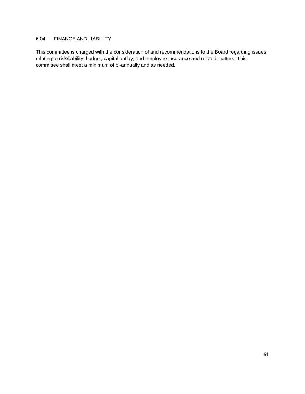# 6.04 FINANCE AND LIABILITY

This committee is charged with the consideration of and recommendations to the Board regarding issues relating to risk/liability, budget, capital outlay, and employee insurance and related matters. This committee shall meet a minimum of bi-annually and as needed.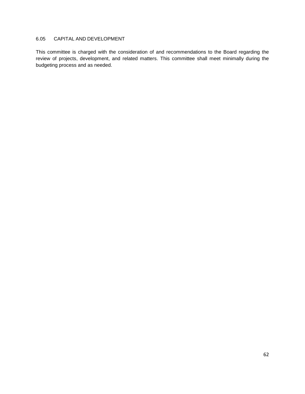# 6.05 CAPITAL AND DEVELOPMENT

This committee is charged with the consideration of and recommendations to the Board regarding the review of projects, development, and related matters. This committee shall meet minimally during the budgeting process and as needed.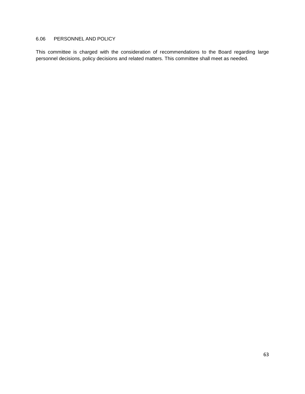### 6.06 PERSONNEL AND POLICY

This committee is charged with the consideration of recommendations to the Board regarding large personnel decisions, policy decisions and related matters. This committee shall meet as needed.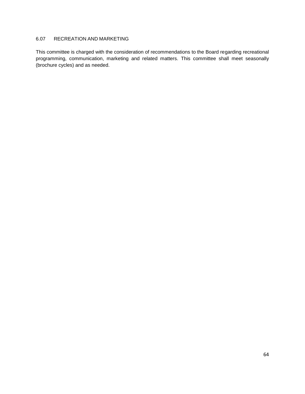# 6.07 RECREATION AND MARKETING

This committee is charged with the consideration of recommendations to the Board regarding recreational programming, communication, marketing and related matters. This committee shall meet seasonally (brochure cycles) and as needed.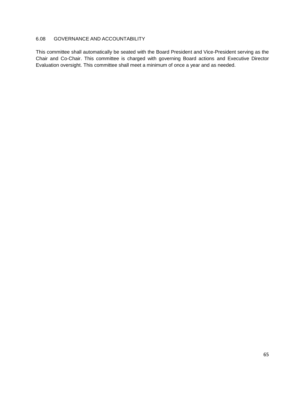# 6.08 GOVERNANCE AND ACCOUNTABILITY

This committee shall automatically be seated with the Board President and Vice-President serving as the Chair and Co-Chair. This committee is charged with governing Board actions and Executive Director Evaluation oversight. This committee shall meet a minimum of once a year and as needed.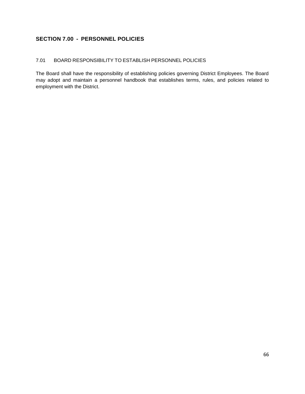# **SECTION 7.00 - PERSONNEL POLICIES**

# 7.01 BOARD RESPONSIBILITY TO ESTABLISH PERSONNEL POLICIES

The Board shall have the responsibility of establishing policies governing District Employees. The Board may adopt and maintain a personnel handbook that establishes terms, rules, and policies related to employment with the District.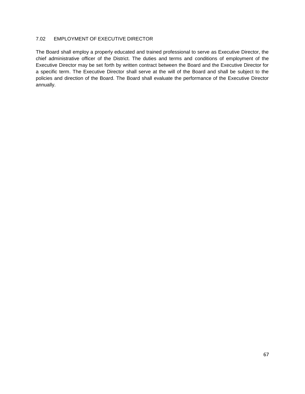### 7.02 EMPLOYMENT OF EXECUTIVE DIRECTOR

The Board shall employ a properly educated and trained professional to serve as Executive Director, the chief administrative officer of the District. The duties and terms and conditions of employment of the Executive Director may be set forth by written contract between the Board and the Executive Director for a specific term. The Executive Director shall serve at the will of the Board and shall be subject to the policies and direction of the Board. The Board shall evaluate the performance of the Executive Director annually.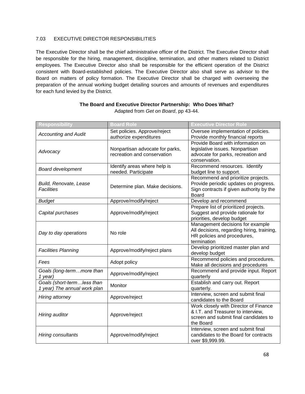# 7.03 EXECUTIVE DIRECTOR RESPONSIBILITIES

The Executive Director shall be the chief administrative officer of the District. The Executive Director shall be responsible for the hiring, management, discipline, termination, and other matters related to District employees. The Executive Director also shall be responsible for the efficient operation of the District consistent with Board-established policies. The Executive Director also shall serve as advisor to the Board on matters of policy formation. The Executive Director shall be charged with overseeing the preparation of the annual working budget detailing sources and amounts of revenues and expenditures for each fund levied by the District.

| <b>Responsibility</b>                                      | <b>Board Role</b>                                              | <b>Executive Director Role</b>                                                                                                          |
|------------------------------------------------------------|----------------------------------------------------------------|-----------------------------------------------------------------------------------------------------------------------------------------|
| <b>Accounting and Audit</b>                                | Set policies. Approve/reject<br>authorize expenditures         | Oversee implementation of policies.<br>Provide monthly financial reports                                                                |
| Advocacy                                                   | Nonpartisan advocate for parks,<br>recreation and conservation | Provide Board with information on<br>legislative issues. Nonpartisan<br>advocate for parks, recreation and<br>conservation.             |
| <b>Board development</b>                                   | Identify areas where help is<br>needed. Participate            | Recommend resources. Identify<br>budget line to support.                                                                                |
| Build, Renovate, Lease<br><b>Facilities</b>                | Determine plan. Make decisions.                                | Recommend and prioritize projects.<br>Provide periodic updates on progress.<br>Sign contracts if given authority by the<br><b>Board</b> |
| <b>Budget</b>                                              | Approve/modify/reject                                          | Develop and recommend                                                                                                                   |
| Capital purchases                                          | Approve/modify/reject                                          | Prepare list of prioritized projects.<br>Suggest and provide rationale for<br>priorities, develop budget                                |
| Day to day operations                                      | No role                                                        | Management decisions for example<br>All decisions, regarding hiring, training,<br>HR policies and procedures,<br>termination            |
| <b>Facilities Planning</b>                                 | Approve/modify/reject plans                                    | Develop prioritized master plan and<br>develop budget                                                                                   |
| Fees                                                       | Adopt policy                                                   | Recommend policies and procedures.<br>Make all decisions and procedures                                                                 |
| Goals (long-termmore than<br>1 year)                       | Approve/modify/reject                                          | Recommend and provide input. Report<br>quarterly                                                                                        |
| Goals (short-termless than<br>1 year) The annual work plan | Monitor                                                        | Establish and carry out. Report<br>quarterly.                                                                                           |
| Hiring attorney                                            | Approve/reject                                                 | Interview, screen and submit final<br>candidates to the Board                                                                           |
| Hiring auditor                                             | Approve/reject                                                 | Work closely with Director of Finance<br>& I.T. and Treasurer to interview,<br>screen and submit final candidates to<br>the Board       |
| Hiring consultants                                         | Approve/modify/reject                                          | Interview, screen and submit final<br>candidates to the Board for contracts<br>over \$9,999.99.                                         |

#### **The Board and Executive Director Partnership: Who Does What?** Adapted from *Get on Board*, pp 43-44.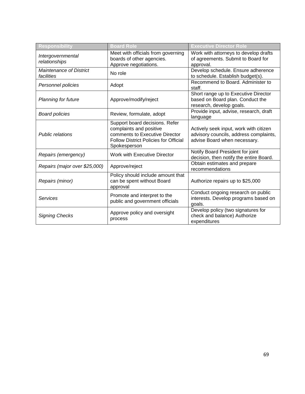| Responsibility                               | <b>Board Role</b>                                                                                                                                           | <b>Executive Director Role</b>                                                                                   |
|----------------------------------------------|-------------------------------------------------------------------------------------------------------------------------------------------------------------|------------------------------------------------------------------------------------------------------------------|
| Intergovernmental<br>relationships           | Meet with officials from governing<br>boards of other agencies.<br>Approve negotiations.                                                                    | Work with attorneys to develop drafts<br>of agreements. Submit to Board for<br>approval.                         |
| <b>Maintenance of District</b><br>facilities | No role                                                                                                                                                     | Develop schedule. Ensure adherence<br>to schedule. Establish budget(s).                                          |
| Personnel policies                           | Adopt                                                                                                                                                       | Recommend to Board, Administer to<br>staff.                                                                      |
| Planning for future                          | Approve/modify/reject                                                                                                                                       | Short range up to Executive Director<br>based on Board plan. Conduct the<br>research, develop goals.             |
| <b>Board policies</b>                        | Review, formulate, adopt                                                                                                                                    | Provide input, advise, research, draft<br>language                                                               |
| <b>Public relations</b>                      | Support board decisions. Refer<br>complaints and positive<br>comments to Executive Director<br><b>Follow District Policies for Official</b><br>Spokesperson | Actively seek input, work with citizen<br>advisory councils, address complaints,<br>advise Board when necessary. |
| Repairs (emergency)                          | Work with Executive Director                                                                                                                                | Notify Board President for joint<br>decision, then notify the entire Board.                                      |
| Repairs (major over \$25,000)                | Approve/reject                                                                                                                                              | Obtain estimates and prepare<br>recommendations                                                                  |
| Repairs (minor)                              | Policy should include amount that<br>can be spent without Board<br>approval                                                                                 | Authorize repairs up to \$25,000                                                                                 |
| Services                                     | Promote and interpret to the<br>public and government officials                                                                                             | Conduct ongoing research on public<br>interests. Develop programs based on<br>goals.                             |
| <b>Signing Checks</b>                        | Approve policy and oversight<br>process                                                                                                                     | Develop policy (two signatures for<br>check and balance) Authorize<br>expenditures                               |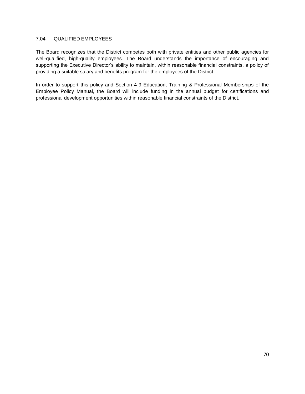### 7.04 QUALIFIED EMPLOYEES

The Board recognizes that the District competes both with private entities and other public agencies for well-qualified, high-quality employees. The Board understands the importance of encouraging and supporting the Executive Director's ability to maintain, within reasonable financial constraints, a policy of providing a suitable salary and benefits program for the employees of the District.

In order to support this policy and Section 4-9 Education, Training & Professional Memberships of the Employee Policy Manual, the Board will include funding in the annual budget for certifications and professional development opportunities within reasonable financial constraints of the District.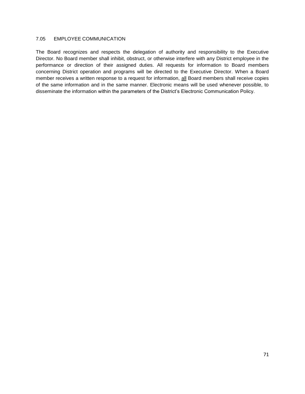### 7.05 EMPLOYEE COMMUNICATION

The Board recognizes and respects the delegation of authority and responsibility to the Executive Director. No Board member shall inhibit, obstruct, or otherwise interfere with any District employee in the performance or direction of their assigned duties. All requests for information to Board members concerning District operation and programs will be directed to the Executive Director. When a Board member receives a written response to a request for information, all Board members shall receive copies of the same information and in the same manner. Electronic means will be used whenever possible, to disseminate the information within the parameters of the District's Electronic Communication Policy.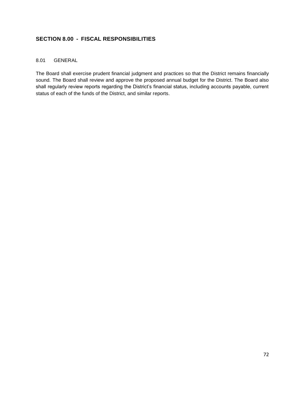# **SECTION 8.00 - FISCAL RESPONSIBILITIES**

## 8.01 GENERAL

The Board shall exercise prudent financial judgment and practices so that the District remains financially sound. The Board shall review and approve the proposed annual budget for the District. The Board also shall regularly review reports regarding the District's financial status, including accounts payable, current status of each of the funds of the District, and similar reports.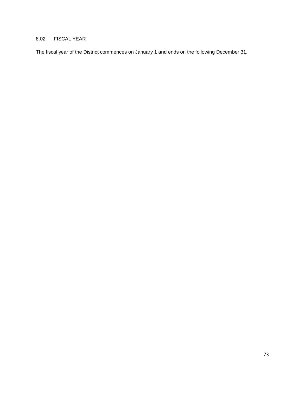# 8.02 FISCAL YEAR

The fiscal year of the District commences on January 1 and ends on the following December 31.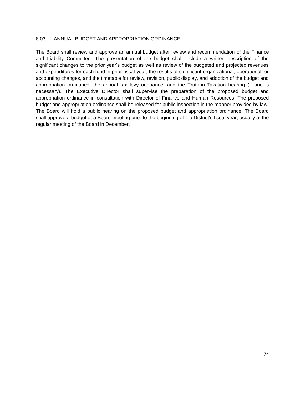### 8.03 ANNUAL BUDGET AND APPROPRIATION ORDINANCE

The Board shall review and approve an annual budget after review and recommendation of the Finance and Liability Committee. The presentation of the budget shall include a written description of the significant changes to the prior year's budget as well as review of the budgeted and projected revenues and expenditures for each fund in prior fiscal year, the results of significant organizational, operational, or accounting changes, and the timetable for review, revision, public display, and adoption of the budget and appropriation ordinance, the annual tax levy ordinance, and the Truth-in-Taxation hearing (if one is necessary). The Executive Director shall supervise the preparation of the proposed budget and appropriation ordinance in consultation with Director of Finance and Human Resources. The proposed budget and appropriation ordinance shall be released for public inspection in the manner provided by law. The Board will hold a public hearing on the proposed budget and appropriation ordinance. The Board shall approve a budget at a Board meeting prior to the beginning of the District's fiscal year, usually at the regular meeting of the Board in December.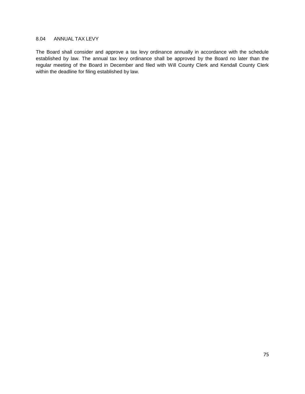### 8.04 ANNUAL TAX LEVY

The Board shall consider and approve a tax levy ordinance annually in accordance with the schedule established by law. The annual tax levy ordinance shall be approved by the Board no later than the regular meeting of the Board in December and filed with Will County Clerk and Kendall County Clerk within the deadline for filing established by law.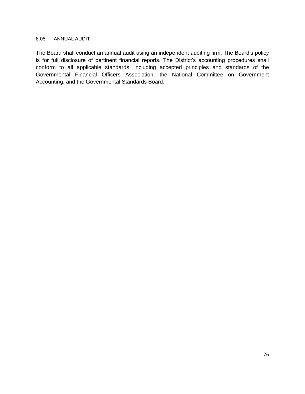### 8.05 ANNUAL AUDIT

The Board shall conduct an annual audit using an independent auditing firm. The Board's policy is for full disclosure of pertinent financial reports. The District's accounting procedures shall conform to all applicable standards, including accepted principles and standards of the Governmental Financial Officers Association, the National Committee on Government Accounting, and the Governmental Standards Board.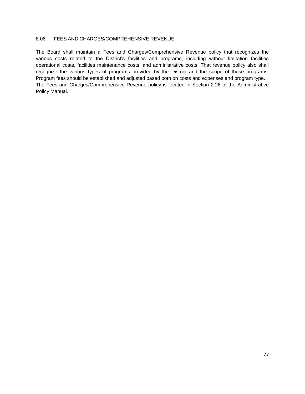### 8.06 FEES AND CHARGES/COMPREHENSIVE REVENUE

The Board shall maintain a Fees and Charges/Comprehensive Revenue policy that recognizes the various costs related to the District's facilities and programs, including without limitation facilities operational costs, facilities maintenance costs, and administrative costs. That revenue policy also shall recognize the various types of programs provided by the District and the scope of those programs. Program fees should be established and adjusted based both on costs and expenses and program type. The Fees and Charges/Comprehensive Revenue policy is located in Section 2.26 of the Administrative Policy Manual.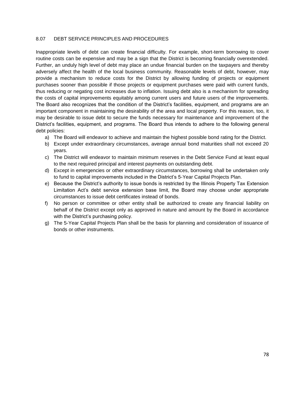### 8.07 DEBT SERVICE PRINCIPLES AND PROCEDURES

Inappropriate levels of debt can create financial difficulty. For example, short-term borrowing to cover routine costs can be expensive and may be a sign that the District is becoming financially overextended. Further, an unduly high level of debt may place an undue financial burden on the taxpayers and thereby adversely affect the health of the local business community. Reasonable levels of debt, however, may provide a mechanism to reduce costs for the District by allowing funding of projects or equipment purchases sooner than possible if those projects or equipment purchases were paid with current funds, thus reducing or negating cost increases due to inflation. Issuing debt also is a mechanism for spreading the costs of capital improvements equitably among current users and future users of the improvements. The Board also recognizes that the condition of the District's facilities, equipment, and programs are an important component in maintaining the desirability of the area and local property. For this reason, too, it may be desirable to issue debt to secure the funds necessary for maintenance and improvement of the District's facilities, equipment, and programs. The Board thus intends to adhere to the following general debt policies:

- a) The Board will endeavor to achieve and maintain the highest possible bond rating for the District.
- b) Except under extraordinary circumstances, average annual bond maturities shall not exceed 20 years.
- c) The District will endeavor to maintain minimum reserves in the Debt Service Fund at least equal to the next required principal and interest payments on outstanding debt.
- d) Except in emergencies or other extraordinary circumstances, borrowing shall be undertaken only to fund to capital improvements included in the District's 5-Year Capital Projects Plan.
- e) Because the District's authority to issue bonds is restricted by the Illinois Property Tax Extension Limitation Act's debt service extension base limit, the Board may choose under appropriate circumstances to issue debt certificates instead of bonds.
- f) No person or committee or other entity shall be authorized to create any financial liability on behalf of the District except only as approved in nature and amount by the Board in accordance with the District's purchasing policy.
- g) The 5-Year Capital Projects Plan shall be the basis for planning and consideration of issuance of bonds or other instruments.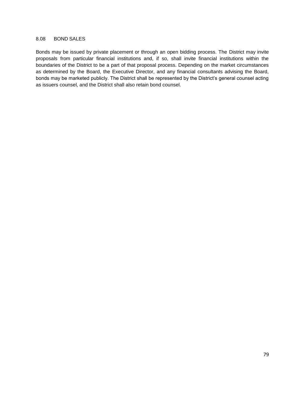### 8.08 BOND SALES

Bonds may be issued by private placement or through an open bidding process. The District may invite proposals from particular financial institutions and, if so, shall invite financial institutions within the boundaries of the District to be a part of that proposal process. Depending on the market circumstances as determined by the Board, the Executive Director, and any financial consultants advising the Board, bonds may be marketed publicly. The District shall be represented by the District's general counsel acting as issuers counsel, and the District shall also retain bond counsel.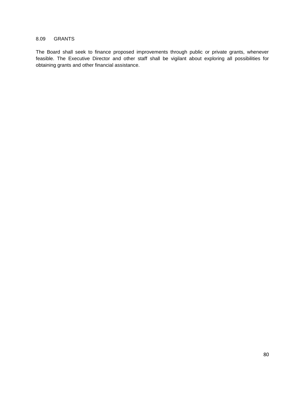### 8.09 GRANTS

The Board shall seek to finance proposed improvements through public or private grants, whenever feasible. The Executive Director and other staff shall be vigilant about exploring all possibilities for obtaining grants and other financial assistance.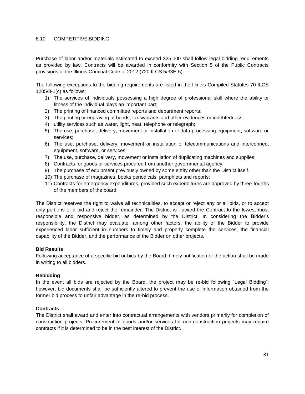### 8.10 COMPETITIVE BIDDING

Purchase of labor and/or materials estimated to exceed \$25,000 shall follow legal bidding requirements as provided by law. Contracts will be awarded in conformity with Section 5 of the Public Contracts provisions of the Illinois Criminal Code of 2012 (720 ILCS 5/33E-5).

The following exceptions to the bidding requirements are listed in the Illinois Compiled Statutes 70 ILCS 1205/8-1(c) as follows:

- 1) The services of individuals possessing a high degree of professional skill where the ability or fitness of the individual plays an important part;
- 2) The printing of financed committee reports and department reports;
- 3) The printing or engraving of bonds, tax warrants and other evidences or indebtedness;
- 4) utility services such as water, light, heat, telephone or telegraph;
- 5) The use, purchase, delivery, movement or installation of data processing equipment, software or services;
- 6) The use, purchase, delivery, movement or installation of telecommunications and interconnect equipment, software, or services;
- 7) The use, purchase, delivery, movement or installation of duplicating machines and supplies;
- 8) Contracts for goods or services procured from another governmental agency;
- 9) The purchase of equipment previously owned by some entity other than the District itself.
- 10) The purchase of magazines, books periodicals, pamphlets and reports;
- 11) Contracts for emergency expenditures, provided such expenditures are approved by three-fourths of the members of the board;

The District reserves the right to waive all technicalities, to accept or reject any or all bids, or to accept only portions of a bid and reject the remainder. The District will award the Contract to the lowest most responsible and responsive bidder, as determined by the District. In considering the Bidder's responsibility, the District may evaluate, among other factors, the ability of the Bidder to provide experienced labor sufficient in numbers to timely and properly complete the services, the financial capability of the Bidder, and the performance of the Bidder on other projects.

#### **Bid Results**

Following acceptance of a specific bid or bids by the Board, timely notification of the action shall be made in writing to all bidders.

#### **Rebidding**

In the event all bids are rejected by the Board, the project may be re-bid following "Legal Bidding"; however, bid documents shall be sufficiently altered to prevent the use of information obtained from the former bid process to unfair advantage in the re-bid process.

#### **Contracts**

The District shall award and enter into contractual arrangements with vendors primarily for completion of construction projects. Procurement of goods and/or services for non-construction projects may require contracts if it is determined to be in the best interest of the District.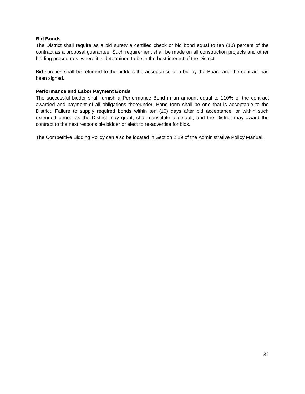### **Bid Bonds**

The District shall require as a bid surety a certified check or bid bond equal to ten (10) percent of the contract as a proposal guarantee. Such requirement shall be made on all construction projects and other bidding procedures, where it is determined to be in the best interest of the District.

Bid sureties shall be returned to the bidders the acceptance of a bid by the Board and the contract has been signed.

### **Performance and Labor Payment Bonds**

The successful bidder shall furnish a Performance Bond in an amount equal to 110% of the contract awarded and payment of all obligations thereunder. Bond form shall be one that is acceptable to the District. Failure to supply required bonds within ten (10) days after bid acceptance, or within such extended period as the District may grant, shall constitute a default, and the District may award the contract to the next responsible bidder or elect to re-advertise for bids.

The Competitive Bidding Policy can also be located in Section 2.19 of the Administrative Policy Manual.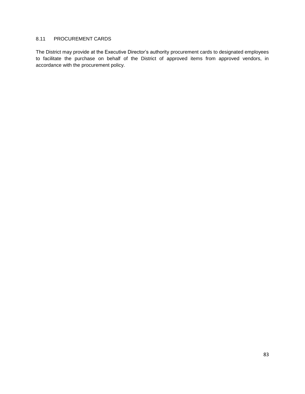## 8.11 PROCUREMENT CARDS

The District may provide at the Executive Director's authority procurement cards to designated employees to facilitate the purchase on behalf of the District of approved items from approved vendors, in accordance with the procurement policy.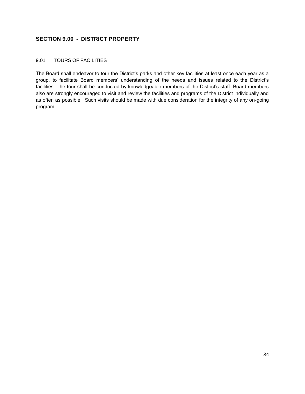# **SECTION 9.00 - DISTRICT PROPERTY**

### 9.01 TOURS OF FACILITIES

The Board shall endeavor to tour the District's parks and other key facilities at least once each year as a group, to facilitate Board members' understanding of the needs and issues related to the District's facilities. The tour shall be conducted by knowledgeable members of the District's staff. Board members also are strongly encouraged to visit and review the facilities and programs of the District individually and as often as possible. Such visits should be made with due consideration for the integrity of any on-going program.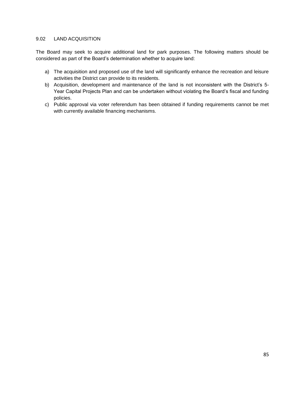### 9.02 LAND ACQUISITION

The Board may seek to acquire additional land for park purposes. The following matters should be considered as part of the Board's determination whether to acquire land:

- a) The acquisition and proposed use of the land will significantly enhance the recreation and leisure activities the District can provide to its residents.
- b) Acquisition, development and maintenance of the land is not inconsistent with the District's 5- Year Capital Projects Plan and can be undertaken without violating the Board's fiscal and funding policies.
- c) Public approval via voter referendum has been obtained if funding requirements cannot be met with currently available financing mechanisms.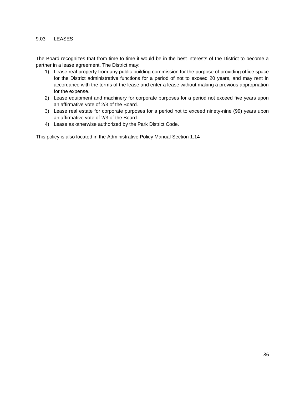### 9.03 LEASES

The Board recognizes that from time to time it would be in the best interests of the District to become a partner in a lease agreement. The District may:

- 1) Lease real property from any public building commission for the purpose of providing office space for the District administrative functions for a period of not to exceed 20 years, and may rent in accordance with the terms of the lease and enter a lease without making a previous appropriation for the expense.
- 2) Lease equipment and machinery for corporate purposes for a period not exceed five years upon an affirmative vote of 2/3 of the Board.
- 3) Lease real estate for corporate purposes for a period not to exceed ninety-nine (99) years upon an affirmative vote of 2/3 of the Board.
- 4) Lease as otherwise authorized by the Park District Code.

This policy is also located in the Administrative Policy Manual Section 1.14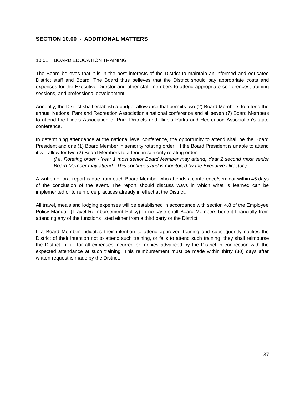## **SECTION 10.00 - ADDITIONAL MATTERS**

### 10.01 BOARD EDUCATION TRAINING

The Board believes that it is in the best interests of the District to maintain an informed and educated District staff and Board. The Board thus believes that the District should pay appropriate costs and expenses for the Executive Director and other staff members to attend appropriate conferences, training sessions, and professional development.

Annually, the District shall establish a budget allowance that permits two (2) Board Members to attend the annual National Park and Recreation Association's national conference and all seven (7) Board Members to attend the Illinois Association of Park Districts and Illinois Parks and Recreation Association's state conference.

In determining attendance at the national level conference, the opportunity to attend shall be the Board President and one (1) Board Member in seniority rotating order. If the Board President is unable to attend it will allow for two (2) Board Members to attend in seniority rotating order.

*(i.e. Rotating order - Year 1 most senior Board Member may attend, Year 2 second most senior Board Member may attend. This continues and is monitored by the Executive Director.)*

A written or oral report is due from each Board Member who attends a conference/seminar within 45 days of the conclusion of the event. The report should discuss ways in which what is learned can be implemented or to reinforce practices already in effect at the District.

All travel, meals and lodging expenses will be established in accordance with section 4.8 of the Employee Policy Manual. (Travel Reimbursement Policy) In no case shall Board Members benefit financially from attending any of the functions listed either from a third party or the District.

If a Board Member indicates their intention to attend approved training and subsequently notifies the District of their intention not to attend such training, or fails to attend such training, they shall reimburse the District in full for all expenses incurred or monies advanced by the District in connection with the expected attendance at such training. This reimbursement must be made within thirty (30) days after written request is made by the District.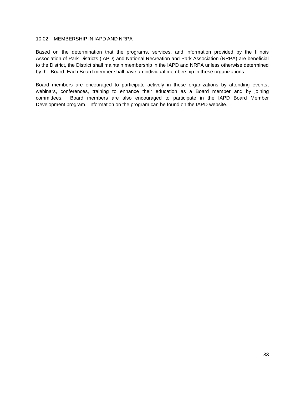#### 10.02 MEMBERSHIP IN IAPD AND NRPA

Based on the determination that the programs, services, and information provided by the Illinois Association of Park Districts (IAPD) and National Recreation and Park Association (NRPA) are beneficial to the District, the District shall maintain membership in the IAPD and NRPA unless otherwise determined by the Board. Each Board member shall have an individual membership in these organizations.

Board members are encouraged to participate actively in these organizations by attending events, webinars, conferences, training to enhance their education as a Board member and by joining committees. Board members are also encouraged to participate in the IAPD Board Member Development program. Information on the program can be found on the IAPD website.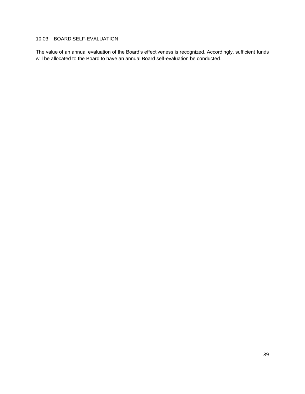## 10.03 BOARD SELF-EVALUATION

The value of an annual evaluation of the Board's effectiveness is recognized. Accordingly, sufficient funds will be allocated to the Board to have an annual Board self-evaluation be conducted.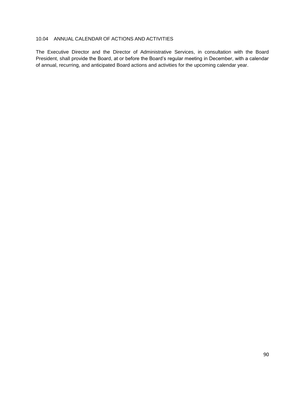## 10.04 ANNUAL CALENDAR OF ACTIONS AND ACTIVITIES

The Executive Director and the Director of Administrative Services, in consultation with the Board President, shall provide the Board, at or before the Board's regular meeting in December, with a calendar of annual, recurring, and anticipated Board actions and activities for the upcoming calendar year.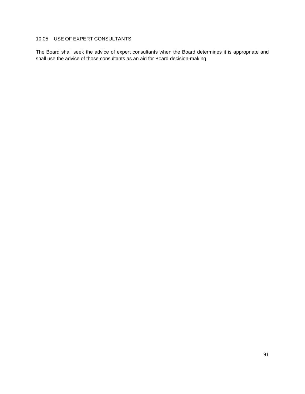## 10.05 USE OF EXPERT CONSULTANTS

The Board shall seek the advice of expert consultants when the Board determines it is appropriate and shall use the advice of those consultants as an aid for Board decision-making.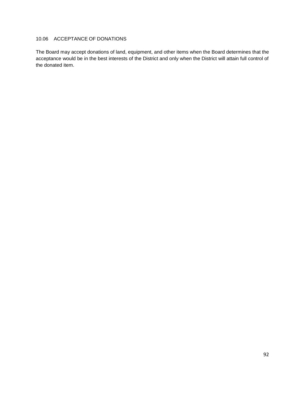## 10.06 ACCEPTANCE OF DONATIONS

The Board may accept donations of land, equipment, and other items when the Board determines that the acceptance would be in the best interests of the District and only when the District will attain full control of the donated item.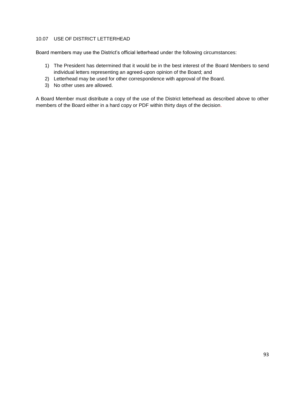### 10.07 USE OF DISTRICT LETTERHEAD

Board members may use the District's official letterhead under the following circumstances:

- 1) The President has determined that it would be in the best interest of the Board Members to send individual letters representing an agreed-upon opinion of the Board; and
- 2) Letterhead may be used for other correspondence with approval of the Board.
- 3) No other uses are allowed.

A Board Member must distribute a copy of the use of the District letterhead as described above to other members of the Board either in a hard copy or PDF within thirty days of the decision.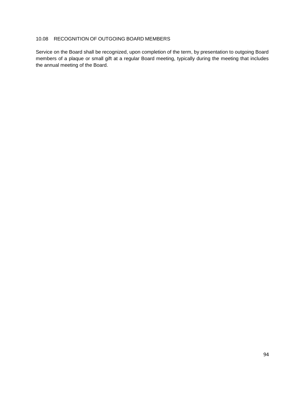## 10.08 RECOGNITION OF OUTGOING BOARD MEMBERS

Service on the Board shall be recognized, upon completion of the term, by presentation to outgoing Board members of a plaque or small gift at a regular Board meeting, typically during the meeting that includes the annual meeting of the Board.